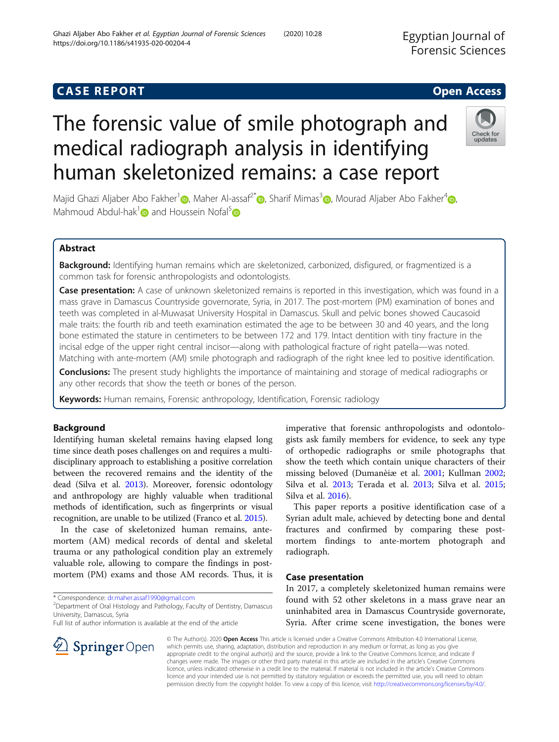# **CASE REPORT CASE REPORT CASE REPORT**

# The forensic value of smile photograph and medical radiograph analysis in identifying human skeletonized remains: a case report



Majid Ghazi Aljaber Abo Fakher<sup>[1](https://orcid.org/0000-0002-3412-8825)</sup> , Maher Al-assaf<sup>2[\\*](https://orcid.org/0000-0001-6691-6992)</sup> [,](https://orcid.org/0000-0003-2349-7139) Sharif Mimas<sup>3</sup> , Mourad Aljaber Abo Fakher<sup>4</sup> , Mahmoud Abdul-hak<sup>1</sup> and Houssein Nofal<sup>[5](https://orcid.org/0000-0002-4237-6837)</sup>

# Abstract

Background: Identifying human remains which are skeletonized, carbonized, disfigured, or fragmentized is a common task for forensic anthropologists and odontologists.

Case presentation: A case of unknown skeletonized remains is reported in this investigation, which was found in a mass grave in Damascus Countryside governorate, Syria, in 2017. The post-mortem (PM) examination of bones and teeth was completed in al-Muwasat University Hospital in Damascus. Skull and pelvic bones showed Caucasoid male traits: the fourth rib and teeth examination estimated the age to be between 30 and 40 years, and the long bone estimated the stature in centimeters to be between 172 and 179. Intact dentition with tiny fracture in the incisal edge of the upper right central incisor—along with pathological fracture of right patella—was noted. Matching with ante-mortem (AM) smile photograph and radiograph of the right knee led to positive identification.

**Conclusions:** The present study highlights the importance of maintaining and storage of medical radiographs or any other records that show the teeth or bones of the person.

Keywords: Human remains, Forensic anthropology, Identification, Forensic radiology

## Background

Identifying human skeletal remains having elapsed long time since death poses challenges on and requires a multidisciplinary approach to establishing a positive correlation between the recovered remains and the identity of the dead (Silva et al. [2013\)](#page-4-0). Moreover, forensic odontology and anthropology are highly valuable when traditional methods of identification, such as fingerprints or visual recognition, are unable to be utilized (Franco et al. [2015\)](#page-3-0).

In the case of skeletonized human remains, antemortem (AM) medical records of dental and skeletal trauma or any pathological condition play an extremely valuable role, allowing to compare the findings in postmortem (PM) exams and those AM records. Thus, it is

\* Correspondence: [dr.maher.assaf1990@gmail.com](mailto:dr.maher.assaf1990@gmail.com) <sup>2</sup>

SpringerOpen

<sup>2</sup> Department of Oral Histology and Pathology, Faculty of Dentistry, Damascus University, Damascus, Syria

Full list of author information is available at the end of the article



This paper reports a positive identification case of a Syrian adult male, achieved by detecting bone and dental fractures and confirmed by comparing these postmortem findings to ante-mortem photograph and radiograph.

## Case presentation

In 2017, a completely skeletonized human remains were found with 52 other skeletons in a mass grave near an uninhabited area in Damascus Countryside governorate, Syria. After crime scene investigation, the bones were

© The Author(s). 2020 Open Access This article is licensed under a Creative Commons Attribution 4.0 International License, which permits use, sharing, adaptation, distribution and reproduction in any medium or format, as long as you give appropriate credit to the original author(s) and the source, provide a link to the Creative Commons licence, and indicate if changes were made. The images or other third party material in this article are included in the article's Creative Commons licence, unless indicated otherwise in a credit line to the material. If material is not included in the article's Creative Commons licence and your intended use is not permitted by statutory regulation or exceeds the permitted use, you will need to obtain permission directly from the copyright holder. To view a copy of this licence, visit <http://creativecommons.org/licenses/by/4.0/>.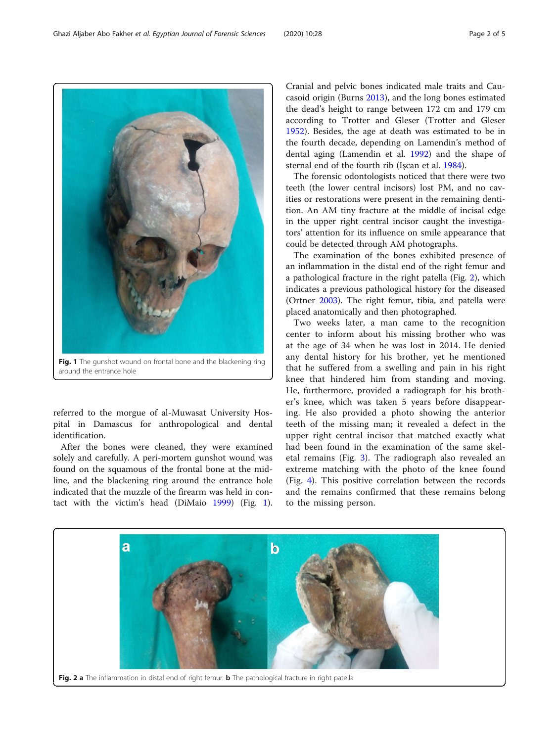referred to the morgue of al-Muwasat University Hospital in Damascus for anthropological and dental identification.

After the bones were cleaned, they were examined solely and carefully. A peri-mortem gunshot wound was found on the squamous of the frontal bone at the midline, and the blackening ring around the entrance hole indicated that the muzzle of the firearm was held in contact with the victim's head (DiMaio [1999](#page-3-0)) (Fig. 1).

a

Cranial and pelvic bones indicated male traits and Caucasoid origin (Burns [2013\)](#page-3-0), and the long bones estimated the dead's height to range between 172 cm and 179 cm according to Trotter and Gleser (Trotter and Gleser [1952](#page-4-0)). Besides, the age at death was estimated to be in the fourth decade, depending on Lamendin's method of dental aging (Lamendin et al. [1992\)](#page-3-0) and the shape of sternal end of the fourth rib (Işcan et al. [1984](#page-3-0)).

The forensic odontologists noticed that there were two teeth (the lower central incisors) lost PM, and no cavities or restorations were present in the remaining dentition. An AM tiny fracture at the middle of incisal edge in the upper right central incisor caught the investigators' attention for its influence on smile appearance that could be detected through AM photographs.

The examination of the bones exhibited presence of an inflammation in the distal end of the right femur and a pathological fracture in the right patella (Fig. 2), which indicates a previous pathological history for the diseased (Ortner [2003\)](#page-3-0). The right femur, tibia, and patella were placed anatomically and then photographed.

Two weeks later, a man came to the recognition center to inform about his missing brother who was at the age of 34 when he was lost in 2014. He denied any dental history for his brother, yet he mentioned that he suffered from a swelling and pain in his right knee that hindered him from standing and moving. He, furthermore, provided a radiograph for his brother's knee, which was taken 5 years before disappearing. He also provided a photo showing the anterior teeth of the missing man; it revealed a defect in the upper right central incisor that matched exactly what had been found in the examination of the same skeletal remains (Fig. [3\)](#page-2-0). The radiograph also revealed an extreme matching with the photo of the knee found (Fig. [4](#page-2-0)). This positive correlation between the records and the remains confirmed that these remains belong to the missing person.



 $\mathbf{b}$ 

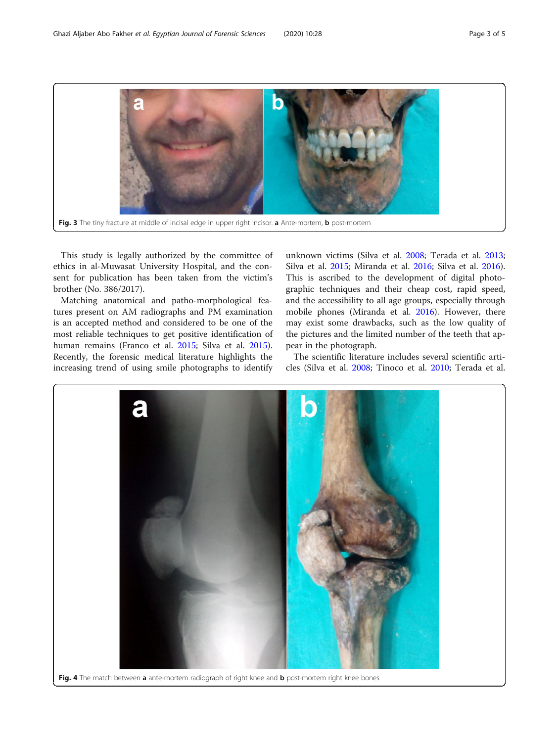<span id="page-2-0"></span>

This study is legally authorized by the committee of ethics in al-Muwasat University Hospital, and the consent for publication has been taken from the victim's brother (No. 386/2017).

Matching anatomical and patho-morphological features present on AM radiographs and PM examination is an accepted method and considered to be one of the most reliable techniques to get positive identification of human remains (Franco et al. [2015;](#page-3-0) Silva et al. [2015](#page-4-0)). Recently, the forensic medical literature highlights the increasing trend of using smile photographs to identify

unknown victims (Silva et al. [2008](#page-4-0); Terada et al. [2013](#page-4-0); Silva et al. [2015;](#page-4-0) Miranda et al. [2016](#page-3-0); Silva et al. [2016](#page-4-0)). This is ascribed to the development of digital photographic techniques and their cheap cost, rapid speed, and the accessibility to all age groups, especially through mobile phones (Miranda et al. [2016\)](#page-3-0). However, there may exist some drawbacks, such as the low quality of the pictures and the limited number of the teeth that appear in the photograph.

The scientific literature includes several scientific articles (Silva et al. [2008;](#page-4-0) Tinoco et al. [2010;](#page-4-0) Terada et al.



Fig. 4 The match between a ante-mortem radiograph of right knee and b post-mortem right knee bones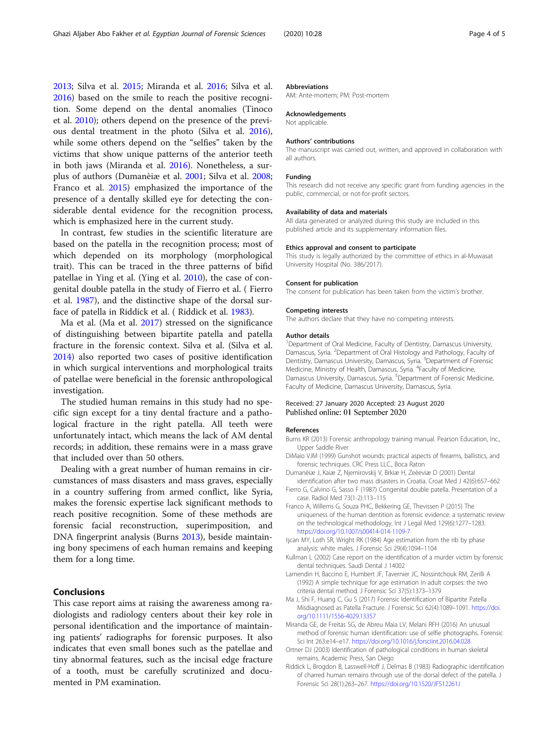<span id="page-3-0"></span>[2013](#page-4-0); Silva et al. [2015](#page-4-0); Miranda et al. 2016; Silva et al. [2016](#page-4-0)) based on the smile to reach the positive recognition. Some depend on the dental anomalies (Tinoco et al. [2010\)](#page-4-0); others depend on the presence of the previous dental treatment in the photo (Silva et al. [2016](#page-4-0)), while some others depend on the "selfies" taken by the victims that show unique patterns of the anterior teeth in both jaws (Miranda et al. 2016). Nonetheless, a surplus of authors (Dumanèiæ et al. 2001; Silva et al. [2008](#page-4-0); Franco et al. 2015) emphasized the importance of the presence of a dentally skilled eye for detecting the considerable dental evidence for the recognition process, which is emphasized here in the current study.

In contrast, few studies in the scientific literature are based on the patella in the recognition process; most of which depended on its morphology (morphological trait). This can be traced in the three patterns of bifid patellae in Ying et al. (Ying et al. [2010\)](#page-4-0), the case of congenital double patella in the study of Fierro et al. ( Fierro et al. 1987), and the distinctive shape of the dorsal surface of patella in Riddick et al. ( Riddick et al. 1983).

Ma et al. (Ma et al. 2017) stressed on the significance of distinguishing between bipartite patella and patella fracture in the forensic context. Silva et al. (Silva et al. [2014](#page-4-0)) also reported two cases of positive identification in which surgical interventions and morphological traits of patellae were beneficial in the forensic anthropological investigation.

The studied human remains in this study had no specific sign except for a tiny dental fracture and a pathological fracture in the right patella. All teeth were unfortunately intact, which means the lack of AM dental records; in addition, these remains were in a mass grave that included over than 50 others.

Dealing with a great number of human remains in circumstances of mass disasters and mass graves, especially in a country suffering from armed conflict, like Syria, makes the forensic expertise lack significant methods to reach positive recognition. Some of these methods are forensic facial reconstruction, superimposition, and DNA fingerprint analysis (Burns 2013), beside maintaining bony specimens of each human remains and keeping them for a long time.

### Conclusions

This case report aims at raising the awareness among radiologists and radiology centers about their key role in personal identification and the importance of maintaining patients' radiographs for forensic purposes. It also indicates that even small bones such as the patellae and tiny abnormal features, such as the incisal edge fracture of a tooth, must be carefully scrutinized and documented in PM examination.

#### Abbreviations

AM: Ante-mortem; PM: Post-mortem

#### Acknowledgements

Not applicable.

#### Authors' contributions

The manuscript was carried out, written, and approved in collaboration with all authors.

#### Funding

This research did not receive any specific grant from funding agencies in the public, commercial, or not-for-profit sectors.

#### Availability of data and materials

All data generated or analyzed during this study are included in this published article and its supplementary information files.

#### Ethics approval and consent to participate

This study is legally authorized by the committee of ethics in al-Muwasat University Hospital (No. 386/2017).

#### Consent for publication

The consent for publication has been taken from the victim's brother.

#### Competing interests

The authors declare that they have no competing interests.

#### Author details

<sup>1</sup> Department of Oral Medicine, Faculty of Dentistry, Damascus University Damascus, Syria. <sup>2</sup>Department of Oral Histology and Pathology, Faculty of Dentistry, Damascus University, Damascus, Syria. <sup>3</sup>Department of Forensic Medicine, Ministry of Health, Damascus, Syria. <sup>4</sup>Faculty of Medicine Damascus University, Damascus, Syria. <sup>5</sup>Department of Forensic Medicine, Faculty of Medicine, Damascus University, Damascus, Syria.

#### Received: 27 January 2020 Accepted: 23 August 2020 Published online: 01 September 2020

#### References

- Burns KR (2013) Forensic anthropology training manual. Pearson Education, Inc., Upper Saddle River
- DiMaio VJM (1999) Gunshot wounds: practical aspects of firearms, ballistics, and forensic techniques. CRC Press LLC., Boca Raton
- Dumanèiæ J, Kaiæ Z, Njemirovskij V, Brkiæ H, Zeèeviæ D (2001) Dental identification after two mass disasters in Croatia. Croat Med J 42(6):657–662
- Fierro G, Calvino G, Sasso F (1987) Congenital double patella. Presentation of a case. Radiol Med 73(1-2):113–115
- Franco A, Willems G, Souza PHC, Bekkering GE, Thevissen P (2015) The uniqueness of the human dentition as forensic evidence: a systematic review on the technological methodology. Int J Legal Med 129(6):1277–1283. <https://doi.org/10.1007/s00414-014-1109-7>
- Işcan MY, Loth SR, Wright RK (1984) Age estimation from the rib by phase analysis: white males. J Forensic Sci 29(4):1094–1104
- Kullman L (2002) Case report on the identification of a murder victim by forensic dental techniques. Saudi Dental J 14002
- Lamendin H, Baccino E, Humbert JF, Tavernier JC, Nossintchouk RM, Zerilli A (1992) A simple technique for age estimation in adult corpses: the two criteria dental method. J Forensic Sci 37(5):1373–1379
- Ma J, Shi F, Huang C, Gu S (2017) Forensic Identification of Bipartite Patella Misdiagnosed as Patella Fracture. J Forensic Sci 62(4):1089–1091. [https://doi.](https://doi.org/10.1111/1556-4029.13357) [org/10.1111/1556-4029.13357](https://doi.org/10.1111/1556-4029.13357)
- Miranda GE, de Freitas SG, de Abreu Maia LV, Melani RFH (2016) An unusual method of forensic human identification: use of selfie photographs. Forensic Sci Int 263:e14–e17. <https://doi.org/10.1016/j.forsciint.2016.04.028>
- Ortner DJ (2003) Identification of pathological conditions in human skeletal remains. Academic Press, San Diego
- Riddick L, Brogdon B, Lasswell-Hoff J, Delmas B (1983) Radiographic identification of charred human remains through use of the dorsal defect of the patella. J Forensic Sci 28(1):263–267. <https://doi.org/10.1520/JFS12261J>